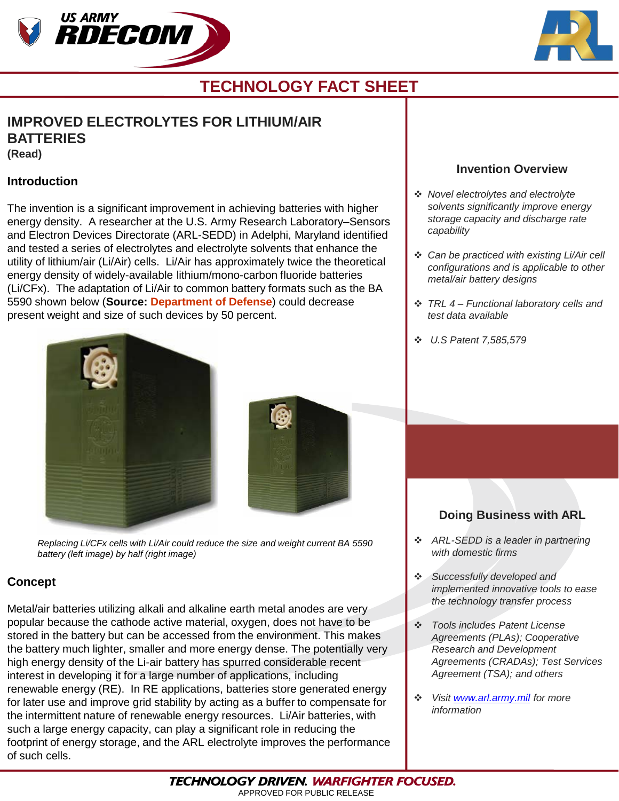



## **TECHNOLOGY FACT SHEET**

### **IMPROVED ELECTROLYTES FOR LITHIUM/AIR BATTERIES (Read)**

#### **Introduction**

The invention is a significant improvement in achieving batteries with higher energy density. A researcher at the U.S. Army Research Laboratory–Sensors and Electron Devices Directorate (ARL-SEDD) in Adelphi, Maryland identified and tested a series of electrolytes and electrolyte solvents that enhance the utility of lithium/air (Li/Air) cells. Li/Air has approximately twice the theoretical energy density of widely-available lithium/mono-carbon fluoride batteries (Li/CFx). The adaptation of Li/Air to common battery formats such as the BA 5590 shown below (**Source: Department of Defense**) could decrease present weight and size of such devices by 50 percent.





*Replacing Li/CFx cells with Li/Air could reduce the size and weight current BA 5590 battery (left image) by half (right image)* 

### **Concept**

Metal/air batteries utilizing alkali and alkaline earth metal anodes are very popular because the cathode active material, oxygen, does not have to be stored in the battery but can be accessed from the environment. This makes the battery much lighter, smaller and more energy dense. The potentially very high energy density of the Li-air battery has spurred considerable recent interest in developing it for a large number of applications, including renewable energy (RE). In RE applications, batteries store generated energy for later use and improve grid stability by acting as a buffer to compensate for the intermittent nature of renewable energy resources. Li/Air batteries, with such a large energy capacity, can play a significant role in reducing the footprint of energy storage, and the ARL electrolyte improves the performance of such cells.

### **Invention Overview**

- *Novel electrolytes and electrolyte solvents significantly improve energy storage capacity and discharge rate capability*
- *Can be practiced with existing Li/Air cell configurations and is applicable to other metal/air battery designs*
- *TRL 4 – Functional laboratory cells and test data available*
- *U.S Patent 7,585,579*

### **Doing Business with ARL**

- *ARL-SEDD is a leader in partnering with domestic firms*
- *Successfully developed and implemented innovative tools to ease the technology transfer process*
- *Tools includes Patent License Agreements (PLAs); Cooperative Research and Development Agreements (CRADAs); Test Services Agreement (TSA); and others*
- *Visit [www.arl.army.mil](http://www.arl.army.mil/) for more information*